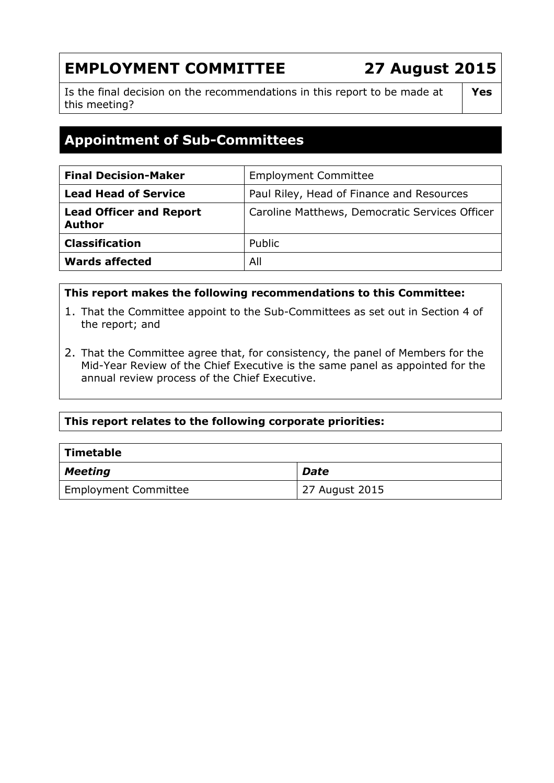# **EMPLOYMENT COMMITTEE 27 August 2015**

Is the final decision on the recommendations in this report to be made at this meeting?

## **Yes**

## **Appointment of Sub-Committees**

| <b>Final Decision-Maker</b>                     | <b>Employment Committee</b>                    |
|-------------------------------------------------|------------------------------------------------|
| <b>Lead Head of Service</b>                     | Paul Riley, Head of Finance and Resources      |
| <b>Lead Officer and Report</b><br><b>Author</b> | Caroline Matthews, Democratic Services Officer |
| <b>Classification</b>                           | Public                                         |
| <b>Wards affected</b>                           | All                                            |

#### **This report makes the following recommendations to this Committee:**

- 1. That the Committee appoint to the Sub-Committees as set out in Section 4 of the report; and
- 2. That the Committee agree that, for consistency, the panel of Members for the Mid-Year Review of the Chief Executive is the same panel as appointed for the annual review process of the Chief Executive.

## **This report relates to the following corporate priorities:**

| <b>Timetable</b>            |                |
|-----------------------------|----------------|
| <b>Meeting</b>              | <b>Date</b>    |
| <b>Employment Committee</b> | 27 August 2015 |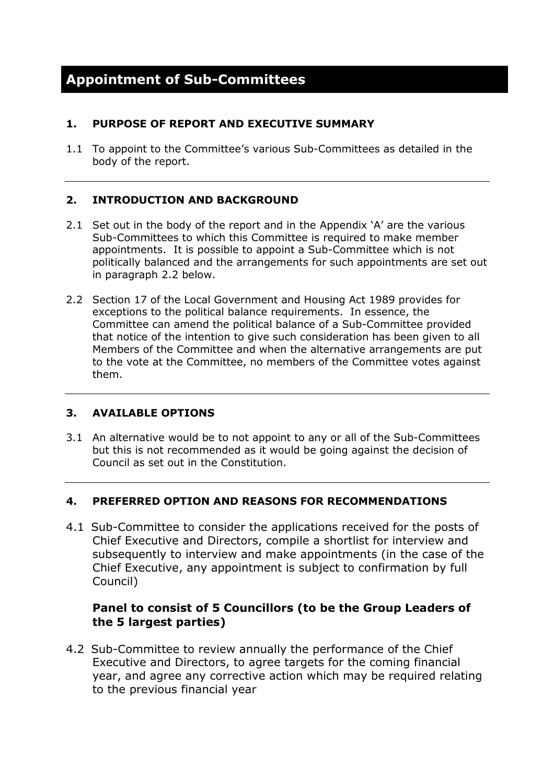#### **1. PURPOSE OF REPORT AND EXECUTIVE SUMMARY**

1.1 To appoint to the Committee's various Sub-Committees as detailed in the body of the report.

## **2. INTRODUCTION AND BACKGROUND**

- 2.1 Set out in the body of the report and in the Appendix 'A' are the various Sub-Committees to which this Committee is required to make member appointments. It is possible to appoint a Sub-Committee which is not politically balanced and the arrangements for such appointments are set out in paragraph 2.2 below.
- 2.2 Section 17 of the Local Government and Housing Act 1989 provides for exceptions to the political balance requirements. In essence, the Committee can amend the political balance of a Sub-Committee provided that notice of the intention to give such consideration has been given to all Members of the Committee and when the alternative arrangements are put to the vote at the Committee, no members of the Committee votes against them.

## **3. AVAILABLE OPTIONS**

3.1 An alternative would be to not appoint to any or all of the Sub-Committees but this is not recommended as it would be going against the decision of Council as set out in the Constitution.

## **4. PREFERRED OPTION AND REASONS FOR RECOMMENDATIONS**

4.1 Sub-Committee to consider the applications received for the posts of Chief Executive and Directors, compile a shortlist for interview and subsequently to interview and make appointments (in the case of the Chief Executive, any appointment is subject to confirmation by full Council)

## **Panel to consist of 5 Councillors (to be the Group Leaders of the 5 largest parties)**

4.2 Sub-Committee to review annually the performance of the Chief Executive and Directors, to agree targets for the coming financial year, and agree any corrective action which may be required relating to the previous financial year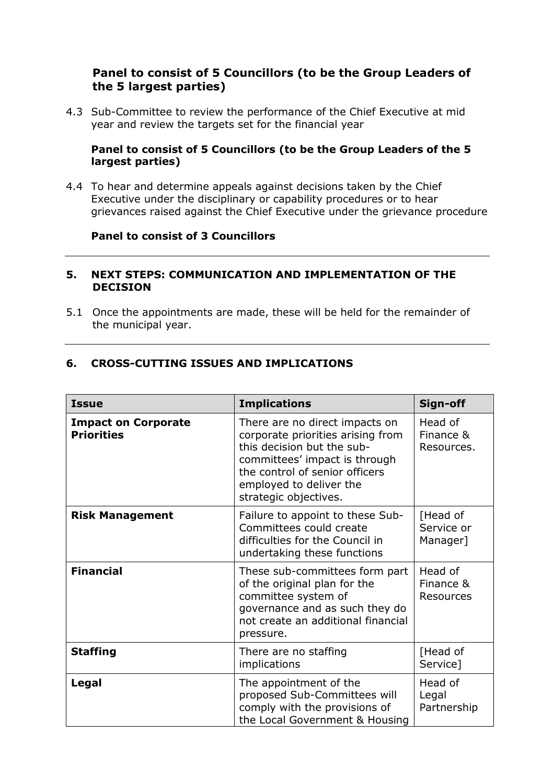#### **Panel to consist of 5 Councillors (to be the Group Leaders of the 5 largest parties)**

4.3 Sub-Committee to review the performance of the Chief Executive at mid year and review the targets set for the financial year

#### **Panel to consist of 5 Councillors (to be the Group Leaders of the 5 largest parties)**

4.4 To hear and determine appeals against decisions taken by the Chief Executive under the disciplinary or capability procedures or to hear grievances raised against the Chief Executive under the grievance procedure

## **Panel to consist of 3 Councillors**

#### **5. NEXT STEPS: COMMUNICATION AND IMPLEMENTATION OF THE DECISION**

5.1 Once the appointments are made, these will be held for the remainder of the municipal year.

#### **6. CROSS-CUTTING ISSUES AND IMPLICATIONS**

| <b>Issue</b>                                    | <b>Implications</b>                                                                                                                                                                                                      | Sign-off                           |
|-------------------------------------------------|--------------------------------------------------------------------------------------------------------------------------------------------------------------------------------------------------------------------------|------------------------------------|
| <b>Impact on Corporate</b><br><b>Priorities</b> | There are no direct impacts on<br>corporate priorities arising from<br>this decision but the sub-<br>committees' impact is through<br>the control of senior officers<br>employed to deliver the<br>strategic objectives. | Head of<br>Finance &<br>Resources. |
| <b>Risk Management</b>                          | Failure to appoint to these Sub-<br>Committees could create<br>difficulties for the Council in<br>undertaking these functions                                                                                            | [Head of<br>Service or<br>Manager] |
| <b>Financial</b>                                | These sub-committees form part<br>of the original plan for the<br>committee system of<br>governance and as such they do<br>not create an additional financial<br>pressure.                                               | Head of<br>Finance &<br>Resources  |
| <b>Staffing</b>                                 | There are no staffing<br>implications                                                                                                                                                                                    | [Head of<br>Service]               |
| Legal                                           | The appointment of the<br>proposed Sub-Committees will<br>comply with the provisions of<br>the Local Government & Housing                                                                                                | Head of<br>Legal<br>Partnership    |